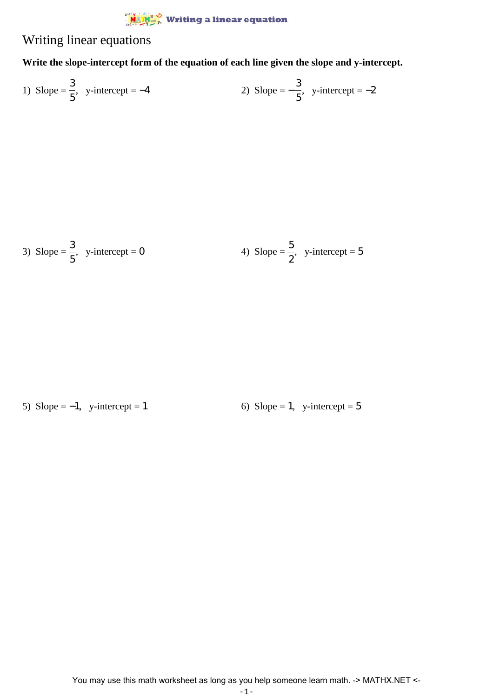

## Writing linear equations

## **Write the slope-intercept form of the equation of each line given the slope and y-intercept.**

1) Slope = 
$$
\frac{3}{5}
$$
, y-intercept = -4  
2) Slope =  $-\frac{3}{5}$ , y-intercept = -2

3) Slope = 
$$
\frac{3}{5}
$$
, y-intercept = 0  
4) Slope =  $\frac{5}{2}$ , y-intercept = 5

5) Slope =  $-1$ , y-intercept = 1 6) Slope = 1, y-intercept = 5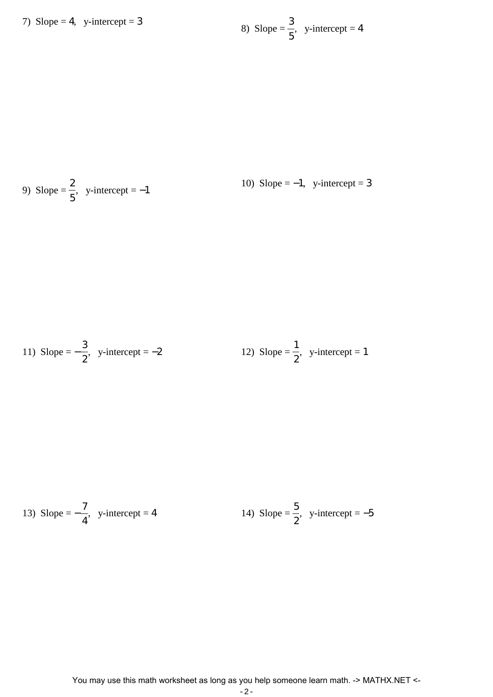7) Slope = 4, y-intercept = 3

8) Slope = 
$$
\frac{3}{5}
$$
, y-intercept = 4

9) Slope = 
$$
\frac{2}{5}
$$
, y-intercept = -1  
10) Slope = -1, y-intercept = 3

11) Slope = 
$$
-\frac{3}{2}
$$
, y-intercept = -2  
12) Slope =  $\frac{1}{2}$ , y-intercept = 1

13) Slope = 
$$
-\frac{7}{4}
$$
, y-intercept = 4  
14) Slope =  $\frac{5}{2}$ , y-intercept = -5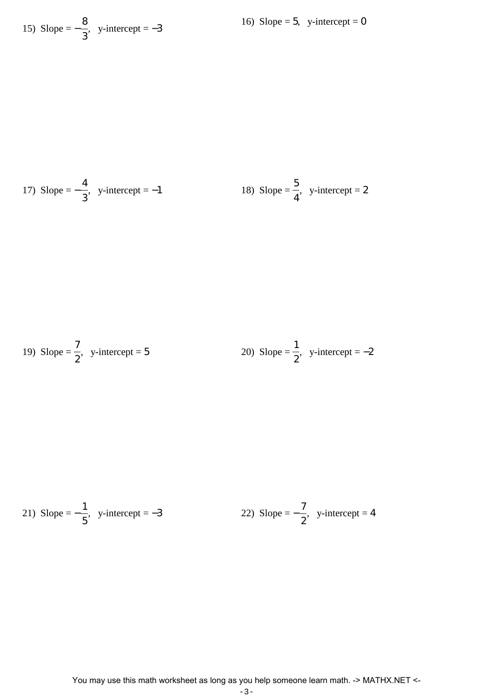15) Slope = 
$$
-\frac{8}{3}
$$
, y-intercept = -3

17) Slope = 
$$
-\frac{4}{3}
$$
, y-intercept = -1  
18) Slope =  $\frac{5}{4}$ , y-intercept = 2

19) Slope = 
$$
\frac{7}{2}
$$
, y-intercept = 5  
20) Slope =  $\frac{1}{2}$ , y-intercept = -2

21) Slope = 
$$
-\frac{1}{5}
$$
, y-intercept = -3  
22) Slope =  $-\frac{7}{2}$ , y-intercept = 4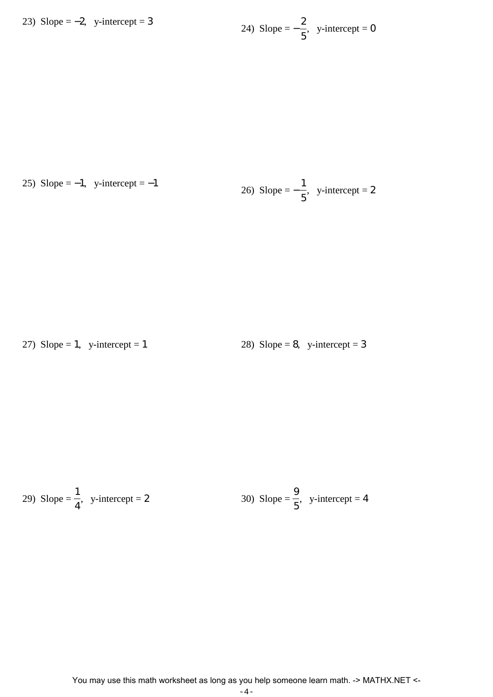23) Slope = 
$$
-2
$$
, y-intercept = 3

24) Slope = 
$$
-\frac{2}{5}
$$
, y-intercept = 0

25) Slope =  $-1$ , y-intercept =  $-1$ 

26) Slope = 
$$
-\frac{1}{5}
$$
, y-intercept = 2

27) Slope = 1, y-intercept = 1 28) Slope = 8, y-intercept = 3

29) Slope = 
$$
\frac{1}{4}
$$
, y-intercept = 2  
30) Slope =  $\frac{9}{5}$ , y-intercept = 4